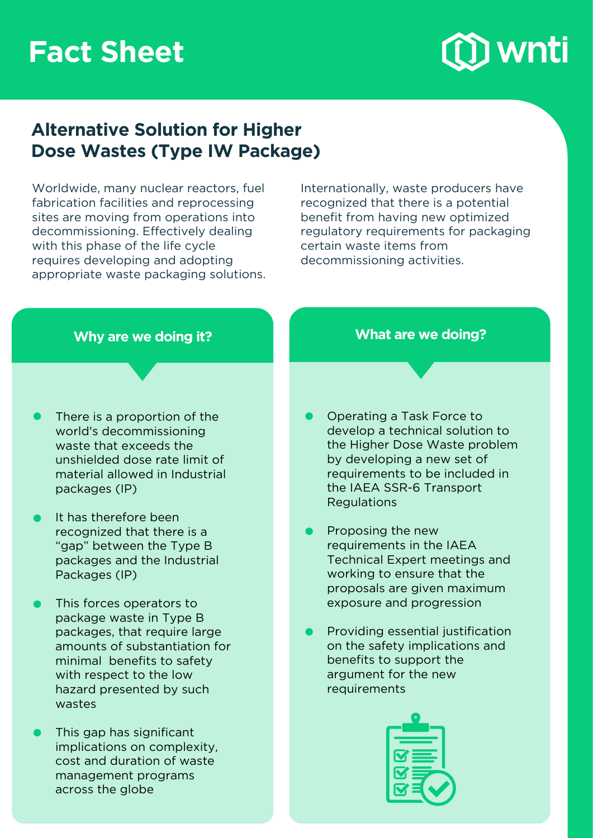# **Fact Sheet**



# **Alternative Solution for Higher Dose Wastes (Type IW Package)**

Worldwide, many nuclear reactors, fuel fabrication facilities and reprocessing sites are moving from operations into decommissioning. Effectively dealing with this phase of the life cycle requires developing and adopting appropriate waste packaging solutions. Internationally, waste producers have recognized that there is a potential benefit from having new optimized regulatory requirements for packaging certain waste items from decommissioning activities.

- There is a proportion of the world's decommissioning waste that exceeds the unshielded dose rate limit of material allowed in Industrial packages (IP)
- It has therefore been recognized that there is a "gap" between the Type B packages and the Industrial Packages (IP)
- This forces operators to package waste in Type B packages, that require large amounts of substantiation for minimal benefits to safety with respect to the low hazard presented by such wastes
- This gap has significant implications on complexity, cost and duration of waste management programs across the globe

### **Why are we doing it? What are we doing?**

- Operating a Task Force to develop a technical solution to the Higher Dose Waste problem by developing a new set of requirements to be included in the IAEA SSR-6 Transport Regulations
- Proposing the new requirements in the IAEA Technical Expert meetings and working to ensure that the proposals are given maximum exposure and progression
- Providing essential justification on the safety implications and benefits to support the argument for the new requirements